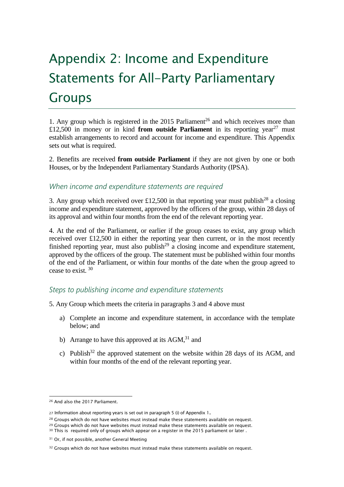# Appendix 2: Income and Expenditure Statements for All-Party Parliamentary Groups

1. Any group which is registered in the 2015 Parliament<sup>26</sup> and which receives more than £12,500 in money or in kind **from outside Parliament** in its reporting year<sup>27</sup> must establish arrangements to record and account for income and expenditure. This Appendix sets out what is required.

2. Benefits are received **from outside Parliament** if they are not given by one or both Houses, or by the Independent Parliamentary Standards Authority (IPSA).

## *When income and expenditure statements are required*

3. Any group which received over £12,500 in that reporting year must publish<sup>28</sup> a closing income and expenditure statement, approved by the officers of the group, within 28 days of its approval and within four months from the end of the relevant reporting year.

4. At the end of the Parliament, or earlier if the group ceases to exist, any group which received over £12,500 in either the reporting year then current, or in the most recently finished reporting year, must also publish<sup>29</sup> a closing income and expenditure statement, approved by the officers of the group. The statement must be published within four months of the end of the Parliament, or within four months of the date when the group agreed to cease to exist. <sup>30</sup>

## *Steps to publishing income and expenditure statements*

5. Any Group which meets the criteria in paragraphs 3 and 4 above must

- a) Complete an income and expenditure statement, in accordance with the template below; and
- b) Arrange to have this approved at its  $AGM$ ,<sup>31</sup> and
- c) Publish<sup>32</sup> the approved statement on the website within 28 days of its AGM, and within four months of the end of the relevant reporting year.

<sup>&</sup>lt;u>.</u> <sup>26</sup> And also the 2017 Parliament.

<sup>27</sup> Information about reporting years is set out in paragraph 5 (i) of Appendix 1.

<sup>&</sup>lt;sup>28</sup> Groups which do not have websites must instead make these statements available on request.

<sup>&</sup>lt;sup>29</sup> Groups which do not have websites must instead make these statements available on request.

<sup>30</sup> This is required only of groups which appear on a register in the 2015 parliament or later.

<sup>31</sup> Or, if not possible, another General Meeting

<sup>32</sup> Groups which do not have websites must instead make these statements available on request.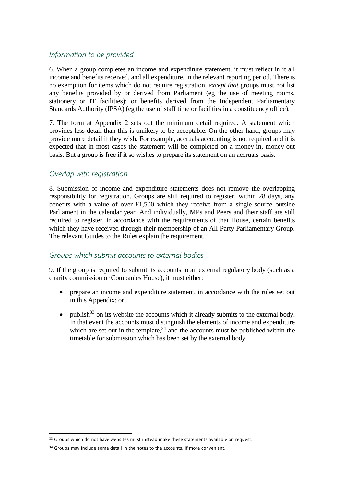## *Information to be provided*

6. When a group completes an income and expenditure statement, it must reflect in it all income and benefits received, and all expenditure, in the relevant reporting period. There is no exemption for items which do not require registration, *except that* groups must not list any benefits provided by or derived from Parliament (eg the use of meeting rooms, stationery or IT facilities); or benefits derived from the Independent Parliamentary Standards Authority (IPSA) (eg the use of staff time or facilities in a constituency office).

7. The form at Appendix 2 sets out the minimum detail required. A statement which provides less detail than this is unlikely to be acceptable. On the other hand, groups may provide more detail if they wish. For example, accruals accounting is not required and it is expected that in most cases the statement will be completed on a money-in, money-out basis. But a group is free if it so wishes to prepare its statement on an accruals basis.

## *Overlap with registration*

8. Submission of income and expenditure statements does not remove the overlapping responsibility for registration. Groups are still required to register, within 28 days, any benefits with a value of over £1,500 which they receive from a single source outside Parliament in the calendar year. And individually, MPs and Peers and their staff are still required to register, in accordance with the requirements of that House, certain benefits which they have received through their membership of an All-Party Parliamentary Group. The relevant Guides to the Rules explain the requirement.

## *Groups which submit accounts to external bodies*

9. If the group is required to submit its accounts to an external regulatory body (such as a charity commission or Companies House), it must either:

- prepare an income and expenditure statement, in accordance with the rules set out in this Appendix; or
- publish $33$  on its website the accounts which it already submits to the external body. In that event the accounts must distinguish the elements of income and expenditure which are set out in the template, $34$  and the accounts must be published within the timetable for submission which has been set by the external body.

<u>.</u>

<sup>33</sup> Groups which do not have websites must instead make these statements available on request.

<sup>&</sup>lt;sup>34</sup> Groups may include some detail in the notes to the accounts, if more convenient.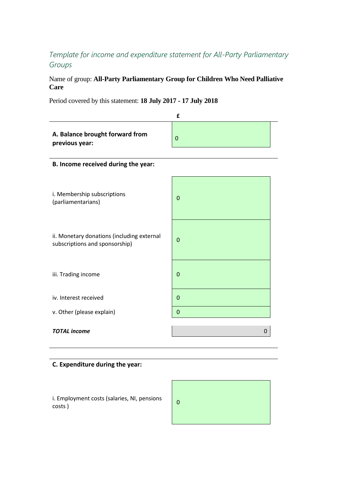## *Template for income and expenditure statement for All-Party Parliamentary Groups*

Name of group: **All-Party Parliamentary Group for Children Who Need Palliative Care**

Period covered by this statement: **18 July 2017 - 17 July 2018**

|                                                                              | £           |  |  |  |  |  |  |
|------------------------------------------------------------------------------|-------------|--|--|--|--|--|--|
| A. Balance brought forward from<br>previous year:                            | $\mathbf 0$ |  |  |  |  |  |  |
| B. Income received during the year:                                          |             |  |  |  |  |  |  |
| i. Membership subscriptions<br>(parliamentarians)                            | $\mathbf 0$ |  |  |  |  |  |  |
| ii. Monetary donations (including external<br>subscriptions and sponsorship) | $\mathbf 0$ |  |  |  |  |  |  |
| iii. Trading income                                                          | $\mathbf 0$ |  |  |  |  |  |  |
| iv. Interest received                                                        | 0           |  |  |  |  |  |  |
| v. Other (please explain)                                                    | $\mathbf 0$ |  |  |  |  |  |  |
| <b>TOTAL</b> income                                                          | 0           |  |  |  |  |  |  |

## **C. Expenditure during the year:**

i. Employment costs (salaries, NI, pensions (100)

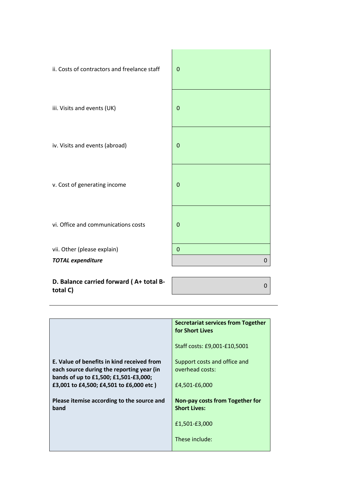| ii. Costs of contractors and freelance staff        | $\mathbf 0$ |
|-----------------------------------------------------|-------------|
| iii. Visits and events (UK)                         | $\mathbf 0$ |
| iv. Visits and events (abroad)                      | $\mathbf 0$ |
| v. Cost of generating income                        | 0           |
| vi. Office and communications costs                 | $\mathbf 0$ |
| vii. Other (please explain)                         | $\mathbf 0$ |
| <b>TOTAL expenditure</b>                            | 0           |
|                                                     |             |
| D. Balance carried forward (A+ total B-<br>total C) | O           |

 $\overline{\mathbf{r}}$ 

 $\overline{\phantom{a}}$ 

|                                                                                                                                  | <b>Secretariat services from Together</b><br>for Short Lives  |  |  |
|----------------------------------------------------------------------------------------------------------------------------------|---------------------------------------------------------------|--|--|
|                                                                                                                                  | Staff costs: £9,001-£10,5001                                  |  |  |
| E. Value of benefits in kind received from<br>each source during the reporting year (in<br>bands of up to £1,500; £1,501-£3,000; | Support costs and office and<br>overhead costs:               |  |  |
| £3,001 to £4,500; £4,501 to £6,000 etc)                                                                                          | £4,501-£6,000                                                 |  |  |
| Please itemise according to the source and<br>band                                                                               | <b>Non-pay costs from Together for</b><br><b>Short Lives:</b> |  |  |
|                                                                                                                                  | £1,501-£3,000                                                 |  |  |
|                                                                                                                                  | These include:                                                |  |  |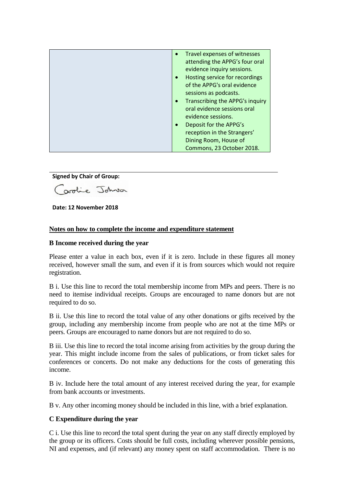| Travel expenses of witnesses<br>attending the APPG's four oral<br>evidence inquiry sessions.<br>Hosting service for recordings<br>$\bullet$<br>of the APPG's oral evidence<br>sessions as podcasts.<br>Transcribing the APPG's inquiry<br>oral evidence sessions oral<br>evidence sessions.<br>Deposit for the APPG's |
|-----------------------------------------------------------------------------------------------------------------------------------------------------------------------------------------------------------------------------------------------------------------------------------------------------------------------|
| reception in the Strangers'                                                                                                                                                                                                                                                                                           |
| Dining Room, House of                                                                                                                                                                                                                                                                                                 |
| Commons, 23 October 2018.                                                                                                                                                                                                                                                                                             |

#### **Signed by Chair of Group:**

Caroline Johnson

#### **Date: 12 November 2018**

#### **Notes on how to complete the income and expenditure statement**

#### **B Income received during the year**

Please enter a value in each box, even if it is zero. Include in these figures all money received, however small the sum, and even if it is from sources which would not require registration.

B i. Use this line to record the total membership income from MPs and peers. There is no need to itemise individual receipts. Groups are encouraged to name donors but are not required to do so.

B ii. Use this line to record the total value of any other donations or gifts received by the group, including any membership income from people who are not at the time MPs or peers. Groups are encouraged to name donors but are not required to do so.

B iii. Use this line to record the total income arising from activities by the group during the year. This might include income from the sales of publications, or from ticket sales for conferences or concerts. Do not make any deductions for the costs of generating this income.

B iv. Include here the total amount of any interest received during the year, for example from bank accounts or investments.

B v. Any other incoming money should be included in this line, with a brief explanation.

#### **C Expenditure during the year**

C i. Use this line to record the total spent during the year on any staff directly employed by the group or its officers. Costs should be full costs, including wherever possible pensions, NI and expenses, and (if relevant) any money spent on staff accommodation. There is no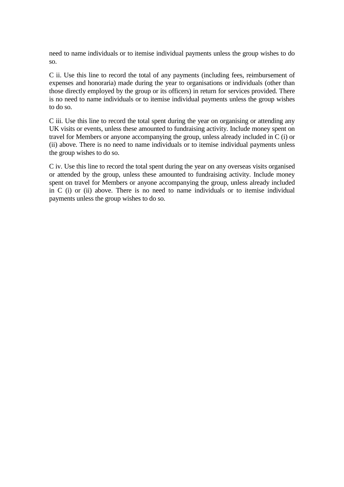need to name individuals or to itemise individual payments unless the group wishes to do so.

C ii. Use this line to record the total of any payments (including fees, reimbursement of expenses and honoraria) made during the year to organisations or individuals (other than those directly employed by the group or its officers) in return for services provided. There is no need to name individuals or to itemise individual payments unless the group wishes to do so.

C iii. Use this line to record the total spent during the year on organising or attending any UK visits or events, unless these amounted to fundraising activity. Include money spent on travel for Members or anyone accompanying the group, unless already included in C (i) or (ii) above. There is no need to name individuals or to itemise individual payments unless the group wishes to do so.

C iv. Use this line to record the total spent during the year on any overseas visits organised or attended by the group, unless these amounted to fundraising activity. Include money spent on travel for Members or anyone accompanying the group, unless already included in C (i) or (ii) above. There is no need to name individuals or to itemise individual payments unless the group wishes to do so.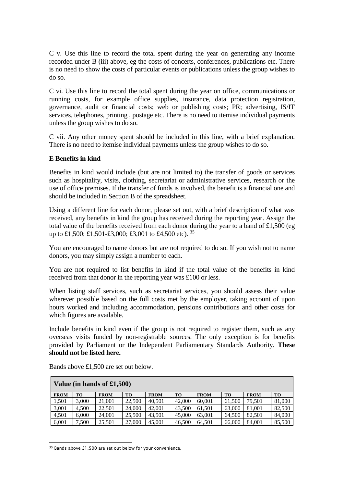C v. Use this line to record the total spent during the year on generating any income recorded under B (iii) above, eg the costs of concerts, conferences, publications etc. There is no need to show the costs of particular events or publications unless the group wishes to do so.

C vi. Use this line to record the total spent during the year on office, communications or running costs, for example office supplies, insurance, data protection registration, governance, audit or financial costs; web or publishing costs; PR; advertising, IS/IT services, telephones, printing , postage etc. There is no need to itemise individual payments unless the group wishes to do so.

C vii. Any other money spent should be included in this line, with a brief explanation. There is no need to itemise individual payments unless the group wishes to do so.

## **E Benefits in kind**

Benefits in kind would include (but are not limited to) the transfer of goods or services such as hospitality, visits, clothing, secretariat or administrative services, research or the use of office premises. If the transfer of funds is involved, the benefit is a financial one and should be included in Section B of the spreadsheet.

Using a different line for each donor, please set out, with a brief description of what was received, any benefits in kind the group has received during the reporting year. Assign the total value of the benefits received from each donor during the year to a band of £1,500 (eg up to £1,500; £1,501-£3,000; £3,001 to £4,500 etc).  $35$ 

You are encouraged to name donors but are not required to do so. If you wish not to name donors, you may simply assign a number to each.

You are not required to list benefits in kind if the total value of the benefits in kind received from that donor in the reporting year was £100 or less.

When listing staff services, such as secretariat services, you should assess their value wherever possible based on the full costs met by the employer, taking account of upon hours worked and including accommodation, pensions contributions and other costs for which figures are available.

Include benefits in kind even if the group is not required to register them, such as any overseas visits funded by non-registrable sources. The only exception is for benefits provided by Parliament or the Independent Parliamentary Standards Authority. **These should not be listed here.** 

| Value (in bands of $£1,500$ ) |           |             |           |             |        |             |           |             |           |
|-------------------------------|-----------|-------------|-----------|-------------|--------|-------------|-----------|-------------|-----------|
| <b>FROM</b>                   | <b>TO</b> | <b>FROM</b> | <b>TO</b> | <b>FROM</b> | TО     | <b>FROM</b> | <b>TO</b> | <b>FROM</b> | <b>TO</b> |
| 1,501                         | 3.000     | 21,001      | 22,500    | 40.501      | 42,000 | 60,001      | 61.500    | 79.501      | 81,000    |
| 3,001                         | 4.500     | 22,501      | 24,000    | 42,001      | 43.500 | 61.501      | 63,000    | 81.001      | 82,500    |
| 4,501                         | 6.000     | 24,001      | 25,500    | 43.501      | 45,000 | 63,001      | 64.500    | 82.501      | 84,000    |
| 6,001                         | 7,500     | 25,501      | 27,000    | 45,001      | 46,500 | 64.501      | 66,000    | 84.001      | 85,500    |

Bands above £1,500 are set out below.

<sup>&</sup>lt;u>.</u> <sup>35</sup> Bands above £1,500 are set out below for your convenience.